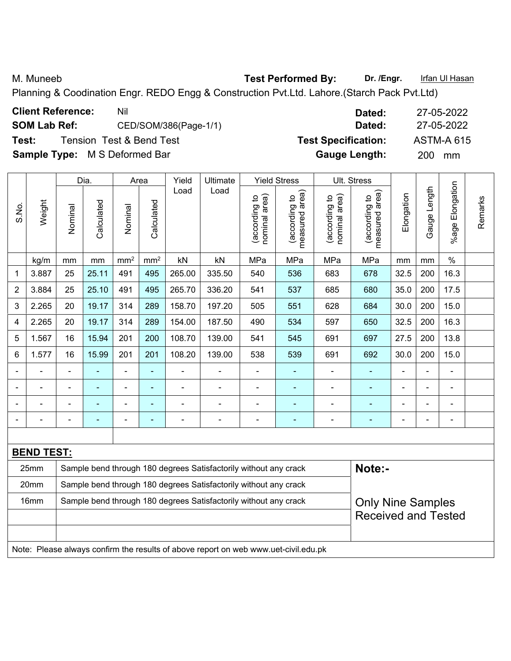M. Muneeb **Test Performed By:** Dr. /Engr. **Infan Ul Hasan** 

Planning & Coodination Engr. REDO Engg & Construction Pvt.Ltd. Lahore.(Starch Pack Pvt.Ltd)

| <b>Client Reference:</b> | Nil                                  | Dated:                     | 27-05-2022        |
|--------------------------|--------------------------------------|----------------------------|-------------------|
| <b>SOM Lab Ref:</b>      | CED/SOM/386(Page-1/1)                | Dated:                     | 27-05-2022        |
| Test:                    | <b>Tension Test &amp; Bend Test</b>  | <b>Test Specification:</b> | <b>ASTM-A 615</b> |
|                          | <b>Sample Type:</b> M S Deformed Bar | <b>Gauge Length:</b>       | <b>200</b><br>mm  |

|                |                   |                | Dia.                                                             |                 | Area                     | Yield                    | Ultimate                                                         |                                | <b>Yield Stress</b>             |                                | Ult. Stress                        |                |              |                      |         |
|----------------|-------------------|----------------|------------------------------------------------------------------|-----------------|--------------------------|--------------------------|------------------------------------------------------------------|--------------------------------|---------------------------------|--------------------------------|------------------------------------|----------------|--------------|----------------------|---------|
| S.No.          | Weight            | Nominal        | Calculated                                                       | Nominal         | Calculated               | Load                     | Load                                                             | nominal area)<br>(according to | measured area)<br>(according to | nominal area)<br>(according to | area)<br>(according to<br>measured | Elongation     | Gauge Length | Elongation<br>%age I | Remarks |
|                | kg/m              | mm             | mm                                                               | mm <sup>2</sup> | mm <sup>2</sup>          | kN                       | kN                                                               | MPa                            | MPa                             | MPa                            | MPa                                | mm             | mm           | $\%$                 |         |
| 1              | 3.887             | 25             | 25.11                                                            | 491             | 495                      | 265.00                   | 335.50                                                           | 540                            | 536                             | 683                            | 678                                | 32.5           | 200          | 16.3                 |         |
| $\overline{2}$ | 3.884             | 25             | 25.10                                                            | 491             | 495                      | 265.70                   | 336.20                                                           | 541                            | 537                             | 685                            | 680                                | 35.0           | 200          | 17.5                 |         |
| 3              | 2.265             | 20             | 19.17                                                            | 314             | 289                      | 158.70                   | 197.20                                                           | 505                            | 551                             | 628                            | 684                                | 30.0           | 200          | 15.0                 |         |
| 4              | 2.265             | 20             | 19.17                                                            | 314             | 289                      | 154.00                   | 187.50                                                           | 490                            | 534                             | 597                            | 650                                | 32.5           | 200          | 16.3                 |         |
| 5              | 1.567             | 16             | 15.94                                                            | 201             | 200                      | 108.70                   | 139.00                                                           | 541                            | 545                             | 691                            | 697                                | 27.5           | 200          | 13.8                 |         |
| 6              | 1.577             | 16             | 15.99                                                            | 201             | 201                      | 108.20                   | 139.00                                                           | 538                            | 539                             | 691                            | 692                                | 30.0           | 200          | 15.0                 |         |
|                |                   |                |                                                                  | ÷,              | $\blacksquare$           |                          |                                                                  | $\blacksquare$                 |                                 |                                |                                    |                | L,           | $\blacksquare$       |         |
|                |                   |                |                                                                  | -               | ÷                        |                          |                                                                  | $\overline{a}$                 | $\blacksquare$                  |                                | ۰                                  |                | ÷            | $\blacksquare$       |         |
| $\blacksquare$ |                   | ٠              | $\blacksquare$                                                   | ÷,              | $\blacksquare$           | $\overline{\phantom{0}}$ |                                                                  | $\qquad \qquad \blacksquare$   | ۰                               |                                | $\overline{\phantom{0}}$           | $\overline{a}$ | L,           | $\blacksquare$       |         |
|                |                   | $\blacksquare$ | $\blacksquare$                                                   | $\blacksquare$  | $\blacksquare$           | $\overline{a}$           |                                                                  | $\overline{a}$                 | $\overline{\phantom{0}}$        |                                | $\overline{\phantom{0}}$           | $\overline{a}$ | L,           | $\blacksquare$       |         |
|                |                   |                |                                                                  |                 |                          |                          |                                                                  |                                |                                 |                                |                                    |                |              |                      |         |
|                | <b>BEND TEST:</b> |                |                                                                  |                 |                          |                          |                                                                  |                                |                                 |                                |                                    |                |              |                      |         |
|                | 25mm              |                |                                                                  |                 |                          |                          | Sample bend through 180 degrees Satisfactorily without any crack |                                |                                 |                                | Note:-                             |                |              |                      |         |
|                | 20mm              |                | Sample bend through 180 degrees Satisfactorily without any crack |                 |                          |                          |                                                                  |                                |                                 |                                |                                    |                |              |                      |         |
|                | 16mm              |                | Sample bend through 180 degrees Satisfactorily without any crack |                 | <b>Only Nine Samples</b> |                          |                                                                  |                                |                                 |                                |                                    |                |              |                      |         |
|                |                   |                |                                                                  |                 |                          |                          | <b>Received and Tested</b>                                       |                                |                                 |                                |                                    |                |              |                      |         |

Note: Please always confirm the results of above report on web www.uet-civil.edu.pk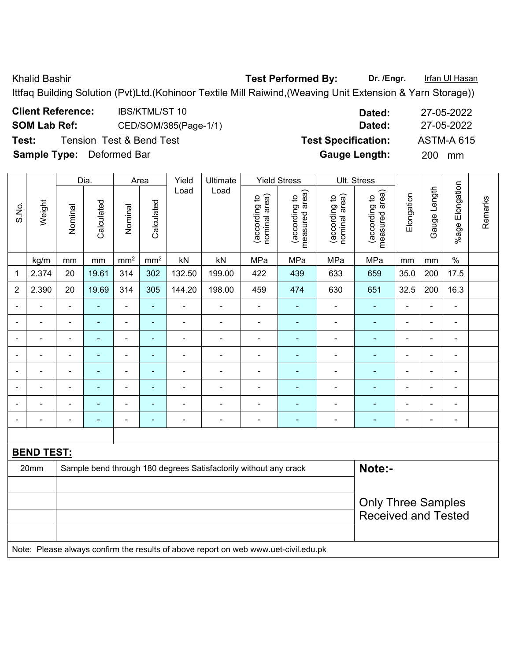Khalid Bashir **Test Performed By:** Dr. /Engr. **Infan Ul Hasan** 

Ittfaq Building Solution (Pvt)Ltd.(Kohinoor Textile Mill Raiwind,(Weaving Unit Extension & Yarn Storage))

| <b>Client Reference:</b>         | IBS/KTML/ST 10           | Dated:                     | 27-05-2022        |
|----------------------------------|--------------------------|----------------------------|-------------------|
| <b>SOM Lab Ref:</b>              | CED/SOM/385(Page-1/1)    | Dated:                     | 27-05-2022        |
| Test:                            | Tension Test & Bend Test | <b>Test Specification:</b> | <b>ASTM-A 615</b> |
| <b>Sample Type:</b> Deformed Bar |                          | <b>Gauge Length:</b>       | <b>200</b><br>mm  |

|                          |                   |                | Dia.           |                 | Area           |                | Ultimate                                                                            |                                | <b>Yield Stress</b>             |                                | Ult. Stress                     |                          |                |                 |         |
|--------------------------|-------------------|----------------|----------------|-----------------|----------------|----------------|-------------------------------------------------------------------------------------|--------------------------------|---------------------------------|--------------------------------|---------------------------------|--------------------------|----------------|-----------------|---------|
| S.No.                    | Weight            | Nominal        | Calculated     | Nominal         | Calculated     | Load           | Load                                                                                | (according to<br>nominal area) | (according to<br>measured area) | nominal area)<br>(according to | (according to<br>measured area) | Elongation               | Gauge Length   | %age Elongation | Remarks |
|                          | kg/m              | mm             | mm             | mm <sup>2</sup> | $\text{mm}^2$  | kN             | kN                                                                                  | MPa                            | MPa                             | MPa                            | MPa                             | mm                       | mm             | $\%$            |         |
| 1                        | 2.374             | 20             | 19.61          | 314             | 302            | 132.50         | 199.00                                                                              | 422                            | 439                             | 633                            | 659                             | 35.0                     | 200            | 17.5            |         |
| $\overline{2}$           | 2.390             | 20             | 19.69          | 314             | 305            | 144.20         | 198.00                                                                              | 459                            | 474                             | 630                            | 651                             | 32.5                     | 200            | 16.3            |         |
|                          |                   | $\blacksquare$ |                | ä,              | $\blacksquare$ | $\blacksquare$ | $\blacksquare$                                                                      | $\blacksquare$                 |                                 | $\blacksquare$                 | ۰                               | $\blacksquare$           | $\blacksquare$ | ä,              |         |
|                          | $\blacksquare$    | $\blacksquare$ | $\blacksquare$ | $\blacksquare$  | $\blacksquare$ | $\blacksquare$ | $\blacksquare$                                                                      | $\overline{\phantom{a}}$       | $\blacksquare$                  | $\overline{\phantom{a}}$       | Ξ                               | $\blacksquare$           | $\overline{a}$ | $\blacksquare$  |         |
| $\overline{\phantom{0}}$ | ä,                | $\blacksquare$ | $\blacksquare$ | $\blacksquare$  | $\blacksquare$ | $\blacksquare$ | $\blacksquare$                                                                      | $\blacksquare$                 | ۰                               | $\blacksquare$                 | ٠                               | $\overline{\phantom{a}}$ | $\blacksquare$ | $\blacksquare$  |         |
|                          | ä,                | $\blacksquare$ | $\blacksquare$ | $\blacksquare$  | $\blacksquare$ | $\blacksquare$ | $\blacksquare$                                                                      | $\overline{\phantom{a}}$       | ÷                               | $\blacksquare$                 | ٠                               | ÷.                       | $\blacksquare$ | $\blacksquare$  |         |
|                          | $\blacksquare$    | $\blacksquare$ | ä,             | ÷,              | $\blacksquare$ | $\blacksquare$ | $\blacksquare$                                                                      | $\blacksquare$                 | ÷                               | $\blacksquare$                 | ä,                              | ÷.                       | $\overline{a}$ | $\blacksquare$  |         |
|                          | L.                | $\blacksquare$ | $\blacksquare$ | $\blacksquare$  | $\blacksquare$ | $\blacksquare$ | $\blacksquare$                                                                      | $\blacksquare$                 | $\blacksquare$                  | $\blacksquare$                 | ۰                               | $\blacksquare$           |                | ä,              |         |
|                          |                   |                | ÷              | $\blacksquare$  | $\blacksquare$ |                | $\blacksquare$                                                                      | ä,                             | ۰                               | $\blacksquare$                 | ۰                               | $\blacksquare$           |                | ÷               |         |
|                          |                   | ٠              |                |                 | ٠              | $\blacksquare$ | ٠                                                                                   | -                              |                                 | ÷                              | $\overline{\phantom{0}}$        | $\blacksquare$           |                | $\blacksquare$  |         |
|                          |                   |                |                |                 |                |                |                                                                                     |                                |                                 |                                |                                 |                          |                |                 |         |
|                          | <b>BEND TEST:</b> |                |                |                 |                |                |                                                                                     |                                |                                 |                                |                                 |                          |                |                 |         |
|                          | 20mm              |                |                |                 |                |                | Sample bend through 180 degrees Satisfactorily without any crack                    |                                |                                 |                                | Note:-                          |                          |                |                 |         |
|                          |                   |                |                |                 |                |                |                                                                                     |                                |                                 |                                |                                 |                          |                |                 |         |
|                          |                   |                |                |                 |                |                | <b>Only Three Samples</b>                                                           |                                |                                 |                                |                                 |                          |                |                 |         |
|                          |                   |                |                |                 |                |                | <b>Received and Tested</b>                                                          |                                |                                 |                                |                                 |                          |                |                 |         |
|                          |                   |                |                |                 |                |                |                                                                                     |                                |                                 |                                |                                 |                          |                |                 |         |
|                          |                   |                |                |                 |                |                | Note: Please always confirm the results of above report on web www.uet-civil.edu.pk |                                |                                 |                                |                                 |                          |                |                 |         |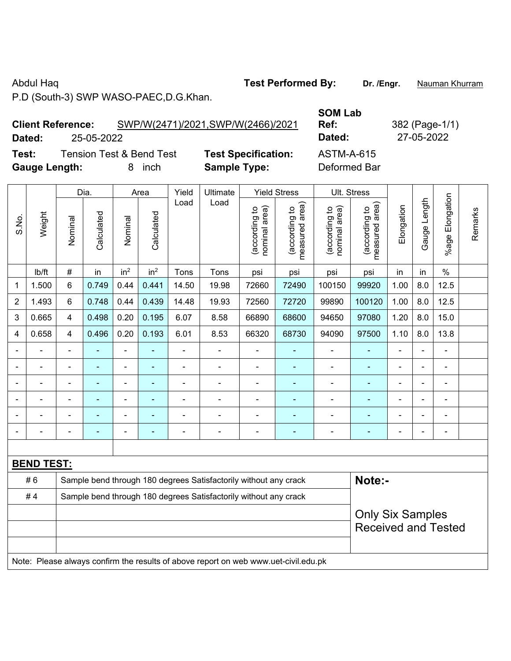Abdul Haq **Test Performed By:** Dr. /Engr. **Nauman Khurram** 

P.D (South-3) SWP WASO-PAEC,D.G.Khan.

## **Client Reference:** SWP/W(2471)/2021,SWP/W(2466)/2021 **Dated:** 25-05-2022 **Dated:** 27-05-2022

**Test:** Tension Test & Bend Test **Test Specification:** ASTM-A-615 **Gauge Length:** 8 inch **Sample Type:** Deformed Bar

**SOM Lab** 

**Ref:** 382 (Page-1/1)

|                |                   |                                                                  | Dia.           |                          | Area            | Yield          | Ultimate                                                         |                                | <b>Yield Stress</b>             |                                | Ult. Stress                     |                          |                |                              |         |  |
|----------------|-------------------|------------------------------------------------------------------|----------------|--------------------------|-----------------|----------------|------------------------------------------------------------------|--------------------------------|---------------------------------|--------------------------------|---------------------------------|--------------------------|----------------|------------------------------|---------|--|
| S.No.          | Weight            | Nominal                                                          | Calculated     | Nominal                  | Calculated      | Load           | Load                                                             | nominal area)<br>(according to | measured area)<br>(according to | nominal area)<br>(according to | (according to<br>measured area) | Elongation               | Gauge Length   | Elongation<br>$%$ age        | Remarks |  |
|                | lb/ft             | $\#$                                                             | in             | in <sup>2</sup>          | in <sup>2</sup> | Tons           | Tons                                                             | psi                            | psi                             | psi                            | psi                             | in                       | in             | $\%$                         |         |  |
| 1              | 1.500             | 6                                                                | 0.749          | 0.44                     | 0.441           | 14.50          | 19.98                                                            | 72660                          | 72490                           | 100150                         | 99920                           | 1.00                     | 8.0            | 12.5                         |         |  |
| $\overline{2}$ | 1.493             | 6                                                                | 0.748          | 0.44                     | 0.439           | 14.48          | 19.93                                                            | 72560                          | 72720                           | 99890                          | 100120                          | 1.00                     | 8.0            | 12.5                         |         |  |
| 3              | 0.665             | 4                                                                | 0.498          | 0.20                     | 0.195           | 6.07           | 8.58                                                             | 66890                          | 68600                           | 94650                          | 97080                           | 1.20                     | 8.0            | 15.0                         |         |  |
| 4              | 0.658             | 4                                                                | 0.496          | 0.20                     | 0.193           | 6.01           | 8.53                                                             | 66320                          | 68730                           | 94090                          | 97500                           | 1.10                     | 8.0            | 13.8                         |         |  |
|                |                   |                                                                  |                | $\blacksquare$           |                 |                |                                                                  |                                | ٠                               | $\overline{\phantom{a}}$       |                                 |                          |                |                              |         |  |
|                |                   | $\blacksquare$                                                   |                | ۰                        | -               | $\blacksquare$ | $\blacksquare$                                                   | $\blacksquare$                 |                                 | $\blacksquare$                 | $\blacksquare$                  | $\blacksquare$           |                | $\qquad \qquad \blacksquare$ |         |  |
|                |                   | -                                                                |                | $\overline{\phantom{a}}$ | ۰               | ٠              | ÷                                                                | $\blacksquare$                 | ٠                               | $\overline{\phantom{a}}$       | $\blacksquare$                  | $\blacksquare$           |                | $\overline{\phantom{a}}$     |         |  |
|                |                   | $\overline{a}$                                                   | $\blacksquare$ | $\blacksquare$           | $\blacksquare$  |                | $\blacksquare$                                                   | $\blacksquare$                 | $\blacksquare$                  | $\overline{\phantom{0}}$       | $\blacksquare$                  | $\blacksquare$           |                | $\blacksquare$               |         |  |
|                |                   | $\blacksquare$                                                   | $\blacksquare$ | $\blacksquare$           | ۰               | $\blacksquare$ | $\blacksquare$                                                   | $\blacksquare$                 | ä,                              | $\blacksquare$                 | $\blacksquare$                  | $\blacksquare$           | $\blacksquare$ | $\overline{a}$               |         |  |
|                |                   | ä,                                                               | $\blacksquare$ | $\blacksquare$           | ۰               |                | $\blacksquare$                                                   | $\blacksquare$                 | ٠                               | $\blacksquare$                 | $\blacksquare$                  | $\overline{\phantom{0}}$ |                | $\blacksquare$               |         |  |
|                |                   |                                                                  |                |                          |                 |                |                                                                  |                                |                                 |                                |                                 |                          |                |                              |         |  |
|                | <b>BEND TEST:</b> |                                                                  |                |                          |                 |                |                                                                  |                                |                                 |                                |                                 |                          |                |                              |         |  |
|                | #6                |                                                                  |                |                          |                 |                | Sample bend through 180 degrees Satisfactorily without any crack |                                |                                 |                                | Note:-                          |                          |                |                              |         |  |
|                | #4                | Sample bend through 180 degrees Satisfactorily without any crack |                |                          |                 |                |                                                                  |                                |                                 |                                |                                 |                          |                |                              |         |  |
|                |                   |                                                                  |                |                          |                 |                | <b>Only Six Samples</b>                                          |                                |                                 |                                |                                 |                          |                |                              |         |  |
|                |                   |                                                                  |                |                          |                 |                |                                                                  |                                |                                 |                                |                                 |                          |                | <b>Received and Tested</b>   |         |  |
|                |                   |                                                                  |                |                          |                 |                |                                                                  |                                |                                 |                                |                                 |                          |                |                              |         |  |

Note: Please always confirm the results of above report on web www.uet-civil.edu.pk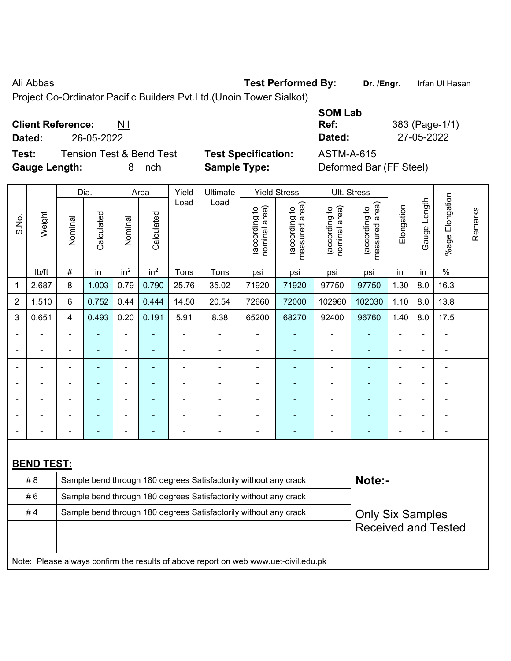## Ali Abbas **Test Performed By:** Dr. /Engr. **Infan Ul Hasan**

Project Co-Ordinator Pacific Builders Pvt.Ltd.(Unoin Tower Sialkot)

| <b>Client Reference:</b> | Nil |
|--------------------------|-----|
|--------------------------|-----|

**Test:** Tension Test & Bend Test **Test Specification:** ASTM-A-615 **Gauge Length:** 8 inch **Sample Type:** Deformed Bar (FF Steel)

**SOM Lab Ref:** 383 (Page-1/1) **Dated:** 26-05-2022 **Dated:** 27-05-2022

|                |                   |                            | Dia.                     |                 | Area                     | Yield          | Ultimate                                                                            |                                | <b>Yield Stress</b>             |                                | Ult. Stress                     |                |              |                       |         |
|----------------|-------------------|----------------------------|--------------------------|-----------------|--------------------------|----------------|-------------------------------------------------------------------------------------|--------------------------------|---------------------------------|--------------------------------|---------------------------------|----------------|--------------|-----------------------|---------|
| S.No.          | Weight            | Nominal                    | Calculated               | Nominal         | Calculated               | Load           | Load                                                                                | nominal area)<br>(according to | (according to<br>measured area) | nominal area)<br>(according to | measured area)<br>(according to | Elongation     | Gauge Length | Elongation<br>$%$ age | Remarks |
|                | lb/ft             | $\#$                       | in                       | in <sup>2</sup> | in <sup>2</sup>          | Tons           | Tons                                                                                | psi                            | psi                             | psi                            | psi                             | in             | in           | $\frac{0}{0}$         |         |
| 1              | 2.687             | 8                          | 1.003                    | 0.79            | 0.790                    | 25.76          | 35.02                                                                               | 71920                          | 71920                           | 97750                          | 97750                           | 1.30           | 8.0          | 16.3                  |         |
| $\overline{2}$ | 1.510             | 6                          | 0.752                    | 0.44            | 0.444                    | 14.50          | 20.54                                                                               | 72660                          | 72000                           | 102960                         | 102030                          | 1.10           | 8.0          | 13.8                  |         |
| 3              | 0.651             | $\overline{4}$             | 0.493                    | 0.20            | 0.191                    | 5.91           | 8.38                                                                                | 65200                          | 68270                           | 92400                          | 96760                           | 1.40           | 8.0          | 17.5                  |         |
|                |                   |                            |                          |                 |                          |                |                                                                                     |                                |                                 |                                |                                 |                |              |                       |         |
|                |                   |                            | $\overline{\phantom{0}}$ | $\blacksquare$  | $\overline{\phantom{0}}$ | L,             |                                                                                     | ÷,                             | ۰                               | $\blacksquare$                 | ٠                               | -              | ÷            | $\blacksquare$        |         |
|                |                   |                            |                          | $\blacksquare$  | $\blacksquare$           | $\blacksquare$ |                                                                                     |                                | ۰                               | $\blacksquare$                 | $\blacksquare$                  |                | Ē,           | $\blacksquare$        |         |
|                |                   |                            | ÷                        | ä,              | ä,                       | $\blacksquare$ | $\blacksquare$                                                                      | $\overline{a}$                 | $\blacksquare$                  | $\blacksquare$                 | ä,                              | ÷              |              | $\blacksquare$        |         |
|                |                   |                            |                          | $\blacksquare$  |                          |                |                                                                                     |                                | ۰                               | L,                             |                                 |                |              | $\blacksquare$        |         |
|                |                   |                            |                          |                 |                          |                |                                                                                     |                                |                                 |                                |                                 |                |              |                       |         |
|                |                   |                            | ۰                        |                 |                          |                |                                                                                     |                                | ۰                               | ٠                              |                                 | $\blacksquare$ |              | $\blacksquare$        |         |
|                |                   |                            |                          |                 |                          |                |                                                                                     |                                |                                 |                                |                                 |                |              |                       |         |
|                | <b>BEND TEST:</b> |                            |                          |                 |                          |                |                                                                                     |                                |                                 |                                |                                 |                |              |                       |         |
|                | # 8               |                            |                          |                 |                          |                | Sample bend through 180 degrees Satisfactorily without any crack                    |                                |                                 |                                | Note:-                          |                |              |                       |         |
|                | #6                |                            |                          |                 |                          |                | Sample bend through 180 degrees Satisfactorily without any crack                    |                                |                                 |                                |                                 |                |              |                       |         |
|                | #4                |                            |                          |                 |                          |                | Sample bend through 180 degrees Satisfactorily without any crack                    |                                |                                 |                                | <b>Only Six Samples</b>         |                |              |                       |         |
|                |                   | <b>Received and Tested</b> |                          |                 |                          |                |                                                                                     |                                |                                 |                                |                                 |                |              |                       |         |
|                |                   |                            |                          |                 |                          |                | Note: Please always confirm the results of above report on web www.uet-civil.edu.pk |                                |                                 |                                |                                 |                |              |                       |         |